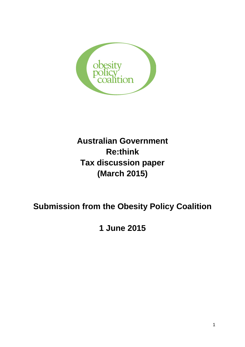

# **Australian Government Re:think Tax discussion paper (March 2015)**

# **Submission from the Obesity Policy Coalition**

**1 June 2015**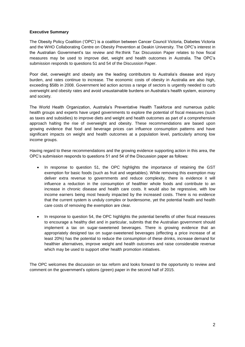## **Executive Summary**

The Obesity Policy Coalition ('OPC') is a coalition between Cancer Council Victoria, Diabetes Victoria and the WHO Collaborating Centre on Obesity Prevention at Deakin University. The OPC's interest in the Australian Government's tax review and Re:think Tax Discussion Paper relates to how fiscal measures may be used to improve diet, weight and health outcomes in Australia. The OPC's submission responds to questions 51 and 54 of the Discussion Paper.

Poor diet, overweight and obesity are the leading contributors to Australia's disease and injury burden, and rates continue to increase. The economic costs of obesity in Australia are also high, exceeding \$58b in 2008. Government led action across a range of sectors is urgently needed to curb overweight and obesity rates and avoid unsustainable burdens on Australia's health system, economy and society.

The World Health Organization, Australia's Preventative Health Taskforce and numerous public health groups and experts have urged governments to explore the potential of fiscal measures (such as taxes and subsidies) to improve diets and weight and health outcomes as part of a comprehensive approach halting the rise of overweight and obesity. These recommendations are based upon growing evidence that food and beverage prices can influence consumption patterns and have significant impacts on weight and health outcomes at a population level, particularly among low income groups.

Having regard to these recommendations and the growing evidence supporting action in this area, the OPC's submission responds to questions 51 and 54 of the Discussion paper as follows:

- In response to question 51, the OPC highlights the importance of retaining the GST exemption for basic foods (such as fruit and vegetables). While removing this exemption may deliver extra revenue to governments and reduce complexity, there is evidence it will influence a reduction in the consumption of healthier whole foods and contribute to an increase in chronic disease and health care costs. It would also be regressive, with low income earners being most heavily impacted by the increased costs. There is no evidence that the current system is unduly complex or burdensome, yet the potential health and health care costs of removing the exemption are clear.
- In response to question 54, the OPC highlights the potential benefits of other fiscal measures to encourage a healthy diet and in particular, submits that the Australian government should implement a tax on sugar-sweetened beverages. There is growing evidence that an appropriately designed tax on sugar-sweetened beverages (effecting a price increase of at least 20%) has the potential to reduce the consumption of these drinks, increase demand for healthier alternatives, improve weight and health outcomes and raise considerable revenue which may be used to support other health promotion initiatives.

The OPC welcomes the discussion on tax reform and looks forward to the opportunity to review and comment on the government's options (green) paper in the second half of 2015.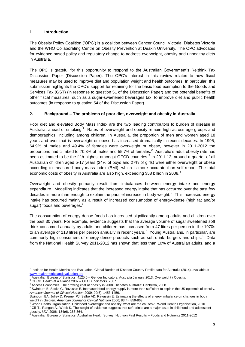## **1. Introduction**

The Obesity Policy Coalition ('OPC') is a coalition between Cancer Council Victoria, Diabetes Victoria and the WHO Collaborating Centre on Obesity Prevention at Deakin University. The OPC advocates for evidence-based policy and regulatory change to address overweight, obesity and unhealthy diets in Australia.

The OPC is grateful for this opportunity to respond to the Australian Government's Re:think Tax Discussion Paper (Discussion Paper). The OPC's interest in this review relates to how fiscal measures may be used to improve diet and population weight and health outcomes. In particular, this submission highlights the OPC's support for retaining for the basic food exemption to the Goods and Services Tax (GST) (in response to question 51 of the Discussion Paper) and the potential benefits of other fiscal measures, such as a sugar-sweetened beverages tax, to improve diet and public health outcomes (in response to question 54 of the Discussion Paper).

## **2. Background – The problems of poor diet, overweight and obesity in Australia**

Poor diet and elevated Body Mass Index are the two leading contributors to burden of disease in Australia, ahead of smoking. $1$  Rates of overweight and obesity remain high across age groups and demographics, including among children. In Australia, the proportion of men and women aged 18 years and over that is overweight or obese has increased dramatically in recent decades. In 1995, 64.9% of males and 49.4% of females were overweight or obese, however in 2011-2012 the proportions had climbed to 70.3% of males and 55.7% of females. $^2$  Australia's adult obesity rate has been estimated to be the fifth highest amongst OECD countries.<sup>3</sup> In 2011-12, around a quarter of all Australian children aged 5-17 years (24% of boys and 27% of girls) were either overweight or obese according to measured body-mass index (BMI), which is more accurate than self-report. The total economic costs of obesity in Australia are also high, exceeding \$58 billion in 2008.<sup>4</sup>

Overweight and obesity primarily result from imbalances between energy intake and energy expenditure. Modelling indicates that the increased energy intake that has occurred over the past few decades is more than enough to explain the parallel increase in body weight.<sup>5</sup> This increased energy intake has occurred mainly as a result of increased consumption of energy-dense (high fat and/or sugar) foods and beverages.<sup>6</sup>

The consumption of energy dense foods has increased significantly among adults and children over the past 30 years. For example, evidence suggests that the average volume of sugar sweetened soft drink consumed annually by adults and children has increased from 47 litres per person in the 1970s to an average of 113 litres per person annually in recent years.<sup>7</sup> Young Australians, in particular, are commonly high consumers of energy dense products such as soft drink, burgers and chips.<sup>8</sup> Data from the National Health Survey 2011-2012 has shown that less than 10% of Australian adults, and a

<sup>-</sup><sup>1</sup> Institute for Health Metrics and Evaluation, Global Burden of Disease Country Profile data for Australia (2014), available at [www.healthmetricsandevaluation.org](http://www.healthmetricsandevaluation.org/)

<sup>2</sup> Australian Bureau of Statistics, 4125.0 – Gender Indicators, Australia January 2013, Overweight / Obesity.

<sup>3</sup> OECD. Health at a Glance 2007 – OECD Indicators. 2007.

<sup>4</sup> Access Economics. The growing cost of obesity in 2008. Diabetes Australia: Canberra, 2008.

<sup>5</sup> Swinburn B, Sacks G, Ravussin E. Increased food energy supply is more than sufficient to explain the US epidemic of obesity. *American Journal of Clinical Nutrition* 2009; 90(6): 1453-1456.

Swinburn BA, Jolley D, Kremer PJ, Salbe AD, Ravussin E. Estimating the effects of energy imbalance on changes in body weight in children. *American Journal of Clinical Nutrition* 2006; 83(4): 859-863.

<sup>6</sup> World Health Organisation. Childhood overweight and obesity: what are the causes? : World Health Organisation, 2010 <sup>7</sup> Gill T., Rangan A., Webb K. The weight of evidence suggests that soft drinks are a major issue in childhood and adolescent

obesity. *MJA* 2006; 184(6): 263-364.<br><sup>8</sup> Australian Bureau of Statistics, Australian Health Survey: Nutrition First Results – Foods and Nutrients 2011-2012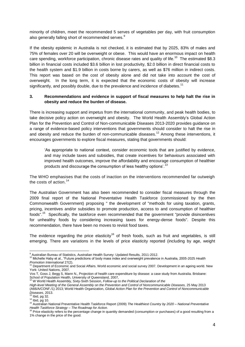minority of children, meet the recommended 5 serves of vegetables per day, with fruit consumption also generally falling short of recommended serves.<sup>9</sup>

If the obesity epidemic in Australia is not checked, it is estimated that by 2025, 83% of males and 75% of females over 20 will be overweight or obese. This would have an enormous impact on health care spending, workforce participation, chronic disease rates and quality of life.<sup>10</sup> The estimated \$8.3 billion in financial costs included \$3.6 billion in lost productivity, \$2.0 billion in direct financial costs to the health system and \$1.9 billion in costs borne by carers, as well as \$76 million in indirect costs. This report was based on the cost of obesity alone and did not take into account the cost of overweight. In the long term, it is expected that the economic costs of obesity will increase significantly, and possibly double, due to the prevalence and incidence of diabetes.<sup>11</sup>

## **3. Recommendations and evidence in support of fiscal measures to help halt the rise in obesity and reduce the burden of disease.**

There is increasing support and impetus from the international community, and peak health bodies, to take decisive policy action on overweight and obesity. The World Health Assembly's Global Action Plan for the Prevention and Control of Non-communicable Diseases 2013-2020 provides guidance on a range of evidence-based policy interventions that governments should consider to halt the rise in and obesity and reduce the burden of non-communicable diseases.<sup>12</sup> Among these interventions, it encourages governments to explore fiscal measures, stating that governments should:

'As appropriate to national context, consider economic tools that are justified by evidence, and may include taxes and subsidies, that create incentives for behaviours associated with improved health outcomes, improve the affordability and encourage consumption of healthier products and discourage the consumption of less healthy options'.<sup>13</sup>

The WHO emphasises that the costs of inaction on the interventions recommended far outweigh the costs of action. $14$ 

The Australian Government has also been recommended to consider fiscal measures through the 2009 final report of the National Preventative Health Taskforce (commissioned by the then Commonwealth Government) proposing " the development of "methods for using taxation, grants, pricing, incentives and/or subsidies to promote production, access to and consumption of healthier foods".<sup>15</sup> Specifically, the taskforce even recommended that the government "provide disincentives for unhealthy foods by considering increasing taxes for energy-dense foods". Despite this recommendation, there have been no moves to revisit food taxes.

The evidence regarding the price elasticity<sup>16</sup> of fresh foods, such as fruit and vegetables, is still emerging. There are variations in the levels of price elasticity reported (including by age, weight

<sup>-</sup><sup>9</sup> Australian Bureau of Statistics, Australian Health Survey: Updated Results, 2011-2012.

<sup>10</sup> Michelle Haby et al., "Future predictions of body mass index and overweight prevalence in Australia, 2005-2025 *Health Promotion International 27(2).*<br><sup>11</sup> Department of Economia

Department of Economic and Social Affairs. World economic and social survey 2007. Development in an ageing world. New York: United Nations, 2007.

Vos T, Goss J, Begg S, Mann N., Projection of health care expenditure by disease: a case study from Australia. Brisbane: School of Population Health, University of Queensland, 2007, <sup>12</sup> W World Health Assembly, Sixty-Sixth Session, *Follow-up to the Political Declaration of the* 

*High-level Meeting of the General Assembly on the Prevention and Control of Noncommunicable Diseases,* 25 May 2013 (A66/A/CONF./1) 2013; World Health Organization, *Global Action Plan for the Prevention and Control of Noncommunicable Diseases*, 2013.

 $13$  Ibid, pg 32.

 $14$  Ibid, pg 10.

<sup>15</sup> Australian National Preventative Health Taskforce Report (2009) *The Healthiest Country by 2020 – National Preventative Health Taskforce Strategy – The Roadmap for Action.*  <sup>16</sup> Price elasticity refers to the percentage change in quantity demanded (consumption or purchases) of a good resulting from a

<sup>1%</sup> change in the price of the good.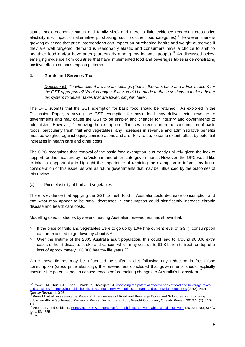status, socio-economic status and family size) and there is little evidence regarding cross-price elasticity (i.e. impact on alternative purchasing, such as other food categories).<sup>17</sup> However, there is growing evidence that price interventions can impact on purchasing habits and weight outcomes if they are well targeted, demand is reasonably elastic and consumers have a choice to shift to healthier food and/or beverages (particularly among low income groups).<sup>18</sup> As discussed below, emerging evidence from countries that have implemented food and beverages taxes is demonstrating positive effects on consumption patterns.

## **4. Goods and Services Tax**

*Question 51: To what extent are the tax settings (that is, the rate, base and administration) for the GST appropriate? What changes, if any, could be made to these settings to make a better tax system to deliver taxes that are lower, simpler, fairer)*

The OPC submits that the GST exemption for basic food should be retained. As explored in the Discussion Paper, removing the GST exemption for basic food may deliver extra revenue to governments and may cause the GST to be simpler and cheaper for industry and governments to administer. However, if removing the exemption influences a reduction in the consumption of basic foods, particularly fresh fruit and vegetables, any increases in revenue and administrative benefits must be weighed against equity considerations and are likely to be, to some extent, offset by potential increases in health care and other costs.

The OPC recognises that removal of the basic food exemption is currently unlikely given the lack of support for this measure by the Victorian and other state governments. However, the OPC would like to take this opportunity to highlight the importance of retaining the exemption to inform any future consideration of this issue, as well as future governments that may be influenced by the outcomes of this review.

## (a) Price elasticity of fruit and vegetables

There is evidence that applying the GST to fresh food in Australia could decrease consumption and that what may appear to be small decreases in consumption could significantly increase chronic disease and health care costs.

Modelling used in studies by several leading Australian researchers has shown that:

- $\circ$  If the price of fruits and vegetables were to go up by 10% (the current level of GST), consumption can be expected to go down by about 5%.
- o Over the lifetime of the 2003 Australia adult population, this could lead to around 90,000 extra cases of heart disease, stroke and cancer, which may cost up to \$1.8 billion to treat, on top of a loss of approximately 100,000 healthy life years.<sup>19</sup>

While these figures may be influenced by shifts in diet following any reduction in fresh food consumption (cross price elasticity), the researchers concluded that governments should explicitly consider the potential health consequences before making changes to Australia's tax system.<sup>20</sup>

<sup>-</sup><sup>17</sup> Powell LM, Chriqui JF, Khan T, Wada R, Chaloupka FJ. Assessing the potential effectiveness of food and beverage taxes [and subsidies for improving public health: a systematic review of prices, demand and body weight outcomes](http://www.ncbi.nlm.nih.gov/pubmed/23174017) (2013) 14(2) *Obesity Review*. 110-28.

<sup>&</sup>lt;sup>18</sup> Powell L et al, Assessing the Potential Effectiveness of Food and Beverage Taxes and Subsidies for Improving public Health: A Systematic Review of Prices, Demand and Body Weight Outcomes, Obesity Review 2013;14(2): 110 -

<sup>128</sup> <sup>19</sup> Veerman J and Cobiac L[. Removing the GST exemption for fresh fruits and vegetables could cost lives.](https://www.mja.com.au/journal/2013/199/8/removing-gst-exemption-fresh-fruits-and-vegetables-could-cost-lives) (2013) 199(8) *Med J Aust*, 534-535 <sup>20</sup> Ibid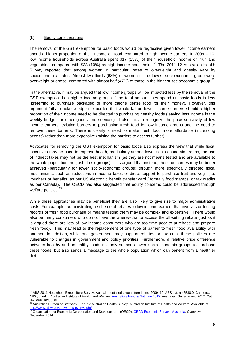#### (b) Equity considerations

The removal of the GST exemption for basic foods would be regressive given lower income earners spend a higher proportion of their income on food, compared to high income earners. In 2009 – 10, low income households across Australia spent \$17 (15%) of their household income on fruit and vegetables, compared with \$38 (10%) by high income households.<sup>21</sup> The 2011-12 Australian Health Survey reported that among women in particular, rates of overweight and obesity vary by socioeconomic status. Almost two thirds (63%) of women in the lowest socioeconomic group were overweight or obese, compared with almost half (47%) of those in the highest socioeconomic group.<sup>22</sup>

In the alternative, it may be argued that low income groups will be impacted less by the removal of the GST exemption than higher income groups if the total amount they spend on basic foods is less (preferring to purchase packaged or more calorie dense food for their money). However, this argument fails to acknowledge the burden that would fall on lower income earners should a higher proportion of their income need to be directed to purchasing healthy foods (leaving less income in the weekly budget for other goods and services). It also fails to recognize the price sensitivity of low income earners, existing barriers to purchasing fresh food for low income groups and the need to remove these barriers. There is clearly a need to make fresh food more affordable (increasing access) rather than more expensive (raising the barriers to access further).

Advocates for removing the GST exemption for basic foods also express the view that while fiscal incentives may be used to improve health, particularly among lower socio-economic groups, the use of indirect taxes may not be the best mechanism (as they are not means tested and are available to the whole population, not just at risk groups).It is argued that instead, these outcomes may be better achieved (particularly for lower socio-economic groups) through more specifically directed fiscal mechanisms, such as reductions in income taxes or direct support to purchase fruit and veg (i.e. vouchers or benefits, as per US electronic benefit transfer card / formally food stamps, or tax credits as per Canada). The OECD has also suggested that equity concerns could be addressed through welfare policies.<sup>23</sup>

While these approaches may be beneficial they are also likely to give rise to major administrative costs. For example, administrating a scheme of rebates to low income earners that involves collecting records of fresh food purchase or means testing them may be complex and expensive. There would also be many consumers who do not have the wherewithal to access the off-setting rebate (just as it is argued there are lots of low income consumers who are too time poor to purchase and prepare fresh food). This may lead to the replacement of one type of barrier to fresh food availability with another. In addition, while one government may support rebates or tax cuts, these policies are vulnerable to changes in government and policy priorities. Furthermore, a relative price difference between healthy and unhealthy foods not only supports lower socio-economic groups to purchase these foods, but also sends a message to the whole population which can benefit from a healthier diet.

<sup>-</sup><sup>21</sup> ABS 2011 Household Expenditure Survey, Australia: detailed expenditure items, 2009–10. ABS cat. no.6530.0. Canberra: ABS , cited in Australian Institute of Health and Welfare. [Australia's Food & Nutrition 2012. A](http://www.aihw.gov.au/WorkArea/DownloadAsset.aspx?id=10737422837)ustralian Government. 2012. Cat. No. PHE 163, p.95

<sup>22</sup> Australian Bureau of Statistics. 2011-12 Australian Health Survey. Australian Institute of Health and Welfare. Available at <u><http://www.aihw.gov.au/who-is-overweight/></u><br><sup>23</sup> Organisation for Economic Co-operation and Development (OECD). <u>OECD Economic Surveys Australia</u>. Overview.

December 2014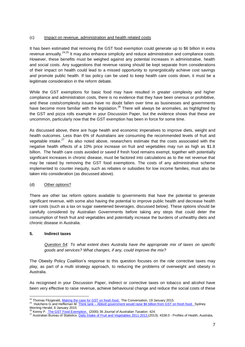## (c) Impact on revenue, administration and health related costs

It has been estimated that removing the GST food exemption could generate up to \$6 billion in extra revenue annually.<sup>24,25</sup> It may also enhance simplicity and reduce administration and compliance costs. However, these benefits must be weighed against any potential increases in administrative, health and social costs. Any suggestions that revenue raising should be kept separate from considerations of their impact on health could lead to a missed opportunity to synergistically achieve cost savings *and* promote public health. If tax policy can be used to keep health care costs down, it must be a legitimate consideration in the reform debate.

While the GST exemptions for basic food may have resulted in greater complexity and higher compliance and administration costs, there is no evidence that they have been onerous or prohibitive, and these costs/complexity issues have no doubt fallen over time as businesses and governments have become more familiar with the legislation.<sup>26</sup> There will always be anomalies, as highlighted by the GST and pizza rolls example in your Discussion Paper, but the evidence shows that these are uncommon, particularly now that the GST exemption has been in force for some time.

As discussed above, there are huge health and economic imperatives to improve diets, weight and health outcomes. Less than 6% of Australians are consuming the recommended levels of fruit and vegetable intake. $27$  As also noted above, researchers estimate that the costs associated with the negative health effects of a 10% price increase on fruit and vegetables may run as high as \$1.8 billion. The health care costs avoided or saved if fresh food remains exempt, together with potentially significant increases in chronic disease, must be factored into calculations as to the net revenue that may be raised by removing the GST food exemptions. The costs of any administrative scheme implemented to counter inequity, such as rebates or subsidies for low income families, must also be taken into consideration (as discussed above).

# (d) Other options?

There are other tax reform options available to governments that have the potential to generate significant revenue, with some also having the potential to improve public health and decrease health care costs (such as a tax on sugar sweetened beverages, discussed below). These options should be carefully considered by Australian Governments before taking any steps that could deter the consumption of fresh fruit and vegetables and potentially increase the burdens of unhealthy diets and chronic disease in Australia.

## **5. Indirect taxes**

*Question 54: To what extent does Australia have the appropriate mix of taxes on specific goods and services? What changes, if any, could improve the mix?*

The Obesity Policy Coalition's response to this question focuses on the role corrective taxes may play, as part of a multi strategy approach, to reducing the problems of overweight and obesity in Australia.

As recognised in your Discussion Paper, indirect or corrective taxes on tobacco and alcohol have been very effective to raise revenue, achieve behavioural change and reduce the social costs of these

<sup>-</sup><sup>24</sup> Thomas Fitzgerald, *Making the case for GST on fresh food.* The Conversation, 19 January 2015.

<sup>25</sup> Hutchens G and Heffernan M. Think tank – [Abbott government would raise \\$6 billion from GST on fresh food.](http://www.smh.com.au/federal-politics/political-news/think-tank-abbott-government-would-raise-6-billion-from-gst-on-fresh-food-20150105-12i9b6.html) Sydney Morning Herald, 6 January 2015 <sup>26</sup> Kenny P[. The GST Food Exemption.](http://www.buseco.monash.edu.au/blt/jat/2000-issue6-kenny.pdf) (2000) 36 *Journal of Australian Taxation*. 424.

<sup>&</sup>lt;sup>27</sup> Australian Bureau of Statistics. [Daily Intake of Fruit and Vegetables](http://www.abs.gov.au/ausstats/abs@.nsf/Lookup/by%20Subject/4338.0~2011-13~Main%20Features~Daily%20intake%20of%20fruit%20and%20vegetables~10009) 2011-2013.(2013); 4338.0 - Profiles of Health, Australia,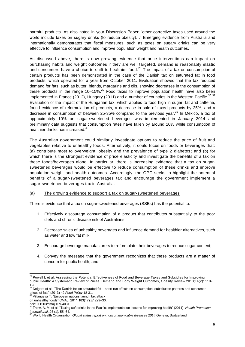harmful products. As also noted in your Discussion Paper, 'other corrective taxes used around the world include taxes on sugary drinks (to reduce obesity)…' Emerging evidence from Australia and internationally demonstrates that fiscal measures, such as taxes on sugary drinks can be very effective to influence consumption and improve population weight and health outcomes.

As discussed above, there is now growing evidence that price interventions can impact on purchasing habits and weight outcomes if they are well targeted, demand is reasonably elastic and consumers have a choice to shift to healthier food.<sup>28</sup> The impact of a tax on consumption of certain products has been demonstrated in the case of the Danish tax on saturated fat in food products, which operated for a year from October 2011. Evaluation showed that the tax reduced demand for fats, such as butter, blends, margarine and oils, showing decreases in the consumption of these products in the range  $10-15\%$ <sup>29</sup> Food taxes to improve population health have also been implemented in France (2012), Hungary (2011) and a number of countries in the Western Pacific.<sup>30 31</sup> Evaluation of the impact of the Hungarian tax, which applies to food high in sugar, fat and caffeine, found evidence of reformulation of products, a decrease in sale of taxed products by 25%, and a decrease in consumption of between 25-35% compared to the previous year. $32$  In Mexico, a tax of approximately 10% on sugar-sweetened beverages was implemented in January 2014 and preliminary data suggests that consumption rates have fallen by around 10% while consumption of healthier drinks has increased. $^{40}$ 

The Australian government could similarly investigate options to reduce the price of fruit and vegetables relative to unhealthy foods. Alternatively, it could focus on foods or beverages that: (a) contribute most to overweight, obesity and the prevalence of type 2 diabetes; and (b) for which there is the strongest evidence of price elasticity and investigate the benefits of a tax on these foods/beverages alone. In particular, there is increasing evidence that a tax on sugarsweetened beverages would be effective to reduce consumption of these drinks and improve population weight and health outcomes. Accordingly, the OPC seeks to highlight the potential benefits of a sugar-sweetened beverages tax and encourage the government implement a sugar-sweetened beverages tax in Australia.

## (a) The growing evidence to support a tax on sugar-sweetened beverages

There is evidence that a tax on sugar-sweetened beverages (SSBs) has the potential to:

- 1. Effectively discourage consumption of a product that contributes substantially to the poor diets and chronic disease risk of Australians;
- 2. Decrease sales of unhealthy beverages and influence demand for healthier alternatives, such as water and low fat milk;
- 3. Encourage beverage manufacturers to reformulate their beverages to reduce sugar content;
- 4. Convey the message that the government recognizes that these products are a matter of concern for public health; and

-

<sup>&</sup>lt;sup>28</sup> Powell L et al, Assessing the Potential Effectiveness of Food and Beverage Taxes and Subsidies for Improving public Health: A Systematic Review of Prices, Demand and Body Weight Outcomes, Obesity Review 2013;14(2): 110 -

<sup>128&</sup>lt;br><sup>29</sup> Dejgard et al., "The Danish tax on saturated fat – short run effects on consumption, substitution patterns and consumer prices of fats" (2013) 42 *Food Policy* 18-31. <sup>30</sup> Villanueva T. "European nations launch tax attack

on unhealthy foods" CMAJ. 2011;183(17):E1229–30.

doi:10.1503/cmaj.109-4031.<br> $^{31}$ Thom A M

<sup>31</sup> Thow, A. M. et al. "Taxing soft drinks in the Pacific: implementation lessons for improving health" (2011) *Health Promotion* 

*International*, *26* (1), 55–64. <sup>32</sup> World Health Organization *Global status report on noncommunicable diseases 2014* Geneva, Switzerland.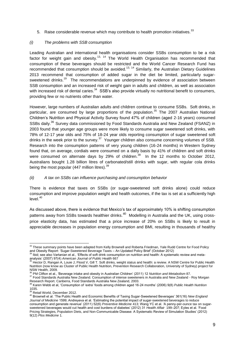5. Raise considerable revenue which may contribute to health promotion initiatives.<sup>33</sup>

## *(i) The problems with SSB consumption*

Leading Australian and international health organisations consider SSBs consumption to be a risk factor for weight gain and obesity.13, 14 The World Health Organisation has recommended that consumption of these beverages should be restricted and the World Cancer Research Fund has recommended that consumption should be avoided.<sup>13, 14</sup> Similarly, the Australian Dietary Guidelines 2013 recommend that consumption of added sugar in the diet be limited, particularly sugarsweetened drinks.<sup>19</sup> The recommendations are underpinned by evidence of association between SSB consumption and an increased risk of weight gain in adults and children, as well as association with increased risk of dental caries.<sup>34</sup> SSB's also provide virtually no nutritional benefit to consumers, providing few or no nutrients other than water.

However, large numbers of Australian adults and children continue to consume SSBs. Soft drinks, in particular, are consumed by large proportions of the population.<sup>35</sup> The 2007 Australian National Children's Nutrition and Physical Activity Survey found 47% of children (aged 2-16 years) consumed SSBs daily.<sup>36</sup> Survey data commissioned by Food Standards Australia and New Zealand (FSANZ) in 2003 found that younger age groups were more likely to consume sugar sweetened soft drinks, with 78% of 12-17 year olds and 75% of 18-24 year olds reporting consumption of sugar sweetened soft drinks in the week prior to the survey.<sup>37</sup> Younger children also consume concerning volumes of SSB. Research into the consumption patterns of very young children (16-24 months) in Western Sydney found that, on average, cordials were consumed on a daily basis by 41% of children and soft drinks were consumed on alternate days by 29% of children.<sup>38</sup> In the 12 months to October 2012, Australians bought 1.28 billion litres of carbonated/still drinks with sugar, with regular cola drinks being the most popular (447 million litres).<sup>39</sup>

# *(ii) A tax on SSBs can influence purchasing and consumption behavior*

There is evidence that taxes on SSBs (or sugar-sweetened soft drinks alone) could reduce consumption and improve population weight and health outcomes, if the tax is set at a sufficiently high level. $40$ 

As discussed above, there is evidence that Mexico's tax of approximately 10% is shifting consumption patterns away from SSBs towards healthier drinks. $^{40}$  Modelling in Australia and the UK, using crossprice elasticity data, has estimated that a price increase of 20% on SSBs is likely to result in appreciable decreases in population energy consumption and BMI, resulting in thousands of healthy

-

 $33$  These summary points have been adapted from Kelly Brownell and Roberta Friedman, Yale Rudd Centre for Food Policy and Obesity Report: 'Sugar-Sweetened Beverage Taxes – An Updated Policy Brief' (October 2012)

<sup>34</sup> Ibid; see also Vartanian et al., 'Effects of soft drink consumption on nutrition and health: A systematic review and metaanalysis' (2007) 97(4) *American Journal of Public Health* 667

<sup>35</sup> Hector D, Rangan A, Louie J, Flood V, Gill T. Soft drinks, weight status and health: a review. A NSW Centre for Public Health Nutrition (now know as Cluster of Public Health Nutrition, Prevention Research Collaboration, University of Sydney) project for NSW Health, 2009.

<sup>36</sup> PM Clifton et al., 'Beverage intake and obesity in Australian Children' (2011) 12 *Nutrition and Metabolism* 87.

<sup>&</sup>lt;sup>37</sup> Food Standards Australia New Zealand. Consumption of intense sweeteners in Australia and New Zealand - Roy Morgan Research Report. Canberra, Food Standards Australia New Zealand, 2003.<br><sup>38</sup> Keren, Nebb st. cl. (Oscarra, Food Standards Australia New Zealand, 2003.

<sup>38</sup> Karen Webb et al, 'Consumption of 'extra' foods among children aged 16-24 months' (2006) 9(8) *Public Health Nutrition*   $rac{1035}{39}$ .

<sup>&</sup>lt;sup>39</sup> Retail World, December 2012.

<sup>40</sup> Brownell et al. 'The Public Health and Economic Benefits of Taxing Sugar-Sweetened Beverages' 361(16) *New England Journal of Medicine* 1599; Andreyeva et al. 'Estimating the potential impact of sugar-sweetened beverages to reduce consumption and generate revenue' (2011) 52(6) *Preventive Medicine* 413; Wang YC et al. 'A penny-per-ounce tax on sugarsweetened beverages would cut health and cost burdens of diabetes' (2012) 31 *Health Affair* 199–207; Eyles et al. 'Food Pricing Strategies, Population Diets, and Non-Communicable Disease: A Systematic Review of Simulation Studies' (2012) 9(12) *Plos Medicine* 1.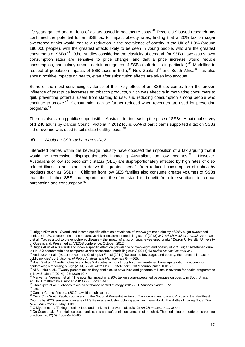life years gained and millions of dollars saved in healthcare costs. $41$  Recent UK-based research has confirmed the potential for an SSB tax to impact obesity rates, finding that a 20% tax on sugar sweetened drinks would lead to a reduction in the prevalence of obesity in the UK of 1.3% (around 180,000 people), with the greatest effects likely to be seen in young people, who are the greatest consumers of SSBs.<sup>42</sup> Other studies considering the elasticity of demand for SSBs have also shown consumption rates are sensitive to price change, and that a price increase would reduce consumption, particularly among certain categories of SSBs (soft drinks in particular).<sup>43</sup> Modelling in respect of population impacts of SSB taxes in India.<sup>44</sup> New Zealand<sup>45</sup> and South Africa<sup>46</sup> has also shown positive impacts on health, even after substitution effects are taken into account.

Some of the most convincing evidence of the likely effect of an SSB tax comes from the proven influence of past price increases on tobacco products, which was effective in motivating consumers to quit, preventing potential users from starting to use, and reducing consumption among people who continue to smoke.<sup>47</sup> Consumption can be further reduced when revenues are used for prevention programs.<sup>48</sup> 

There is also strong public support within Australia for increasing the price of SSBs. A national survey of 1,240 adults by Cancer Council Victoria in 2012 found 65% of participants supported a tax on SSBs if the revenue was used to subsidize healthy foods.<sup>49</sup>

#### *(iii) Would an SSB tax be regressive?*

Interested parties within the beverage industry have opposed the imposition of a tax arguing that it would be regressive, disproportionately impacting Australians on low incomes.<sup>50</sup> However, Australians of low socioeconomic status (SES) are disproportionately affected by high rates of dietrelated illnesses and stand to derive the greatest benefit from reduced consumption of unhealthy products such as SSBs.<sup>51</sup> Children from low SES families also consume greater volumes of SSBs than their higher SES counterparts and therefore stand to benefit from interventions to reduce purchasing and consumption.<sup>52</sup>

-

<sup>41</sup> Briggs ADM et al. 'Overall and income specific effect on prevalence of overweight nade obeisty of 20% sugar sweetened drink tax in UK: econometric and comparative risk assessement modelling study' (2013) 347 *British Medical Journal;* Veerman L et al. 'Tax as a tool to prevent chronic disease – the impact of a tax on sugar-sweetened drinks,' Deakin University, University of Queensland. Presented at ANZOS conference, October 2012.

<sup>42</sup> Briggs ADM et al 'Overall and income specific effect on prevalence of overweight and obesity of 20% sugar sweetened drink tax in UK: econometric and comparative risk assessment modelling study' (2013) 13 *British Medical Journal* 347

<sup>43</sup> Andreyeva et al., (2011) above n 14; Chaloupka F et al (2011) 'Sweetened beverages and obesity: the potential impact of public policies' 30(3) *Journal of Policy Analysis and Management* 644–665.

Basu S et al., "Averting obesity and type 2 diabetes in India through sugar-sweetened beverage taxation: a economic-

epidemiologic modeling study" (2014) *PLoS Med* 11: e1001582 doi:10.1371/journal.pmed.1001582.<br><sup>45</sup> Ni Murchu et al., "Twenty percent tax on fizzy drinks could save lives and generate millions in revenue for health progra in New Zealand" (2014) 127(1389) 92-5.

Manyema, Veerman et al., "The potential impact of a 20% tax on sugar-sweetened beverages on obesity in South African Adults: A mathematical model" (2014) 9(8) *Plos One* 1.

<sup>47</sup> Chaloupka et al., 'Tobacco taxes as a tobacco control strategy' (2012) 21 *Tobacco Control* 172

 $48$  Ibid.

<sup>49</sup> Cancer Council Victoria (2012), awaiting publication.

<sup>50</sup> Coca Cola South Pacific submission to the National Preventative Health Taskforce in response to Australia: the Healthiest Country by 2020; see also coverage of US Beverage industry lobbying activities: Leon Hardt 'The Battle of Taxing Soda' *The* 

*New York Times* 20 May 2009 <sup>51</sup> O Mytton et al., 'Taxing uhealthy food and drinks to improve health'(2012) *British Medical Journal* 344.

 $52$  De Coen et al., 'Parental socioeconomic status and soft drink consumption of the child. The mediating proportion of parenting practices'(2012) 59 *Appetite* 76–80.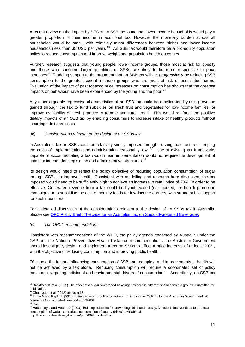A recent review on the impact by SES of an SSB tax found that lower income households would pay a greater proportion of their income in additional tax. However the monetary burden across all households would be small, with relatively minor differences between higher and lower income households (less than \$5 USD per year).  $^{53}$  An SSB tax would therefore be a pro-equity population policy to reduce consumption and improve weight and population health outcomes.

Further, research suggests that young people, lower-income groups, those most at risk for obesity and those who consume larger quantities of SSBs are likely to be more responsive to price increases, 42 43 adding support to the argument that an SBB tax will act *progressively* by reducing SSB consumption to the greatest extent in those groups who are most at risk of associated harms. Evaluation of the impact of past tobacco price increases on consumption has shown that the greatest impacts on behaviour have been experienced by the young and the poor.<sup>54</sup>

Any other arguably regressive characteristics of an SSB tax could be ameliorated by using revenue gained through the tax to fund subsidies on fresh fruit and vegetables for low-income families, or improve availability of fresh produce in remote and rural areas. This would reinforce the positive dietary impacts of an SSB tax by enabling consumers to increase intake of healthy products without incurring additional costs.

# *(iv) Considerations relevant to the design of an SSBs tax*

In Australia, a tax on SSBs could be relatively simply imposed through existing tax structures, keeping the costs of implementation and administration reasonably low. <sup>55</sup> Use of existing tax frameworks capable of accommodating a tax would mean implementation would not require the development of complex independent legislation and administrative structures.<sup>56</sup>

Its design would need to reflect the policy objective of reducing population consumption of sugar through SSBs, to improve health. Consistent with modelling and research here discussed, the tax imposed would need to be sufficiently high to achieve an increase in retail price of 20%, in order to be effective. Generated revenue from a tax could be hypothecated (ear-marked) for health promotion campaigns or to subsidise the cost of healthy foods for low-income earners, with strong public support for such measures.<sup>2</sup>

For a detailed discussion of the considerations relevant to the design of an SSBs tax in Australia, please see [OPC Policy Brief: The case for an Australian tax on Sugar-Sweetened Beverages](http://www.opc.org.au/downloads/positionpapers/policy-brief-australian-tax-sugar-sweetened-beverages.pdf)

## *(v) The OPC's recommendations*

Consistent with recommendations of the WHO, the policy agenda endorsed by Australia under the GAP and the National Preventative Health Taskforce recommendations, the Australian Government should investigate, design and implement a tax on SSBs to effect a price increase of at least 20% , with the objective of reducing consumption and improving public health.

Of course the factors influencing consumption of SSBs are complex, and improvements in health will not be achieved by a tax alone. Reducing consumption will require a coordinated set of policy measures, targeting individual and environmental drivers of consumption.<sup>57</sup> Accordingly, an SSB tax

<sup>-</sup> $53$  Backholer K et al (2015) The effect of a sugar sweetened beverage tax across different socioeconomic groups. Submitted for publication.

Chaloupka et al (2012) above n 17.

<sup>&</sup>lt;sup>55</sup> Thow A and Kaplin L (2013) 'Using economic policy to tackle chronic disease: Options for the Australian Government' 20 *Journal of Law and Medicine* 604 at 608-609 <sup>56</sup> Ibid.

 $57$  Hattersley L and Hector D (2008) "Building solutions for preventing childhood obesity. Module 1: Interventions to promote consumption of water and reduce consumption of sugary drinks', available at http://www.coo.health.usyd.edu.au/pdf/2008\_module1.pdf.